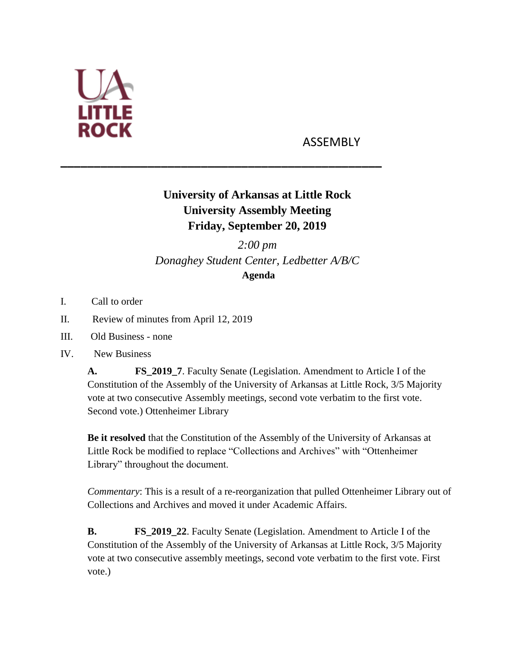

## ASSEMBLY

## **University of Arkansas at Little Rock University Assembly Meeting Friday, September 20, 2019**

**\_\_\_\_\_\_\_\_\_\_\_\_\_\_\_\_\_\_\_\_\_\_\_\_\_\_\_\_\_\_\_\_\_\_\_\_\_\_\_\_\_\_\_\_\_\_\_\_**

*2:00 pm Donaghey Student Center, Ledbetter A/B/C* **Agenda**

- I. Call to order
- II. Review of minutes from April 12, 2019
- III. Old Business none
- IV. New Business

**A. FS\_2019\_7**. Faculty Senate (Legislation. Amendment to Article I of the Constitution of the Assembly of the University of Arkansas at Little Rock, 3/5 Majority vote at two consecutive Assembly meetings, second vote verbatim to the first vote. Second vote.) Ottenheimer Library

**Be it resolved** that the Constitution of the Assembly of the University of Arkansas at Little Rock be modified to replace "Collections and Archives" with "Ottenheimer Library" throughout the document.

*Commentary*: This is a result of a re-reorganization that pulled Ottenheimer Library out of Collections and Archives and moved it under Academic Affairs.

**B. FS\_2019\_22**. Faculty Senate (Legislation. Amendment to Article I of the Constitution of the Assembly of the University of Arkansas at Little Rock, 3/5 Majority vote at two consecutive assembly meetings, second vote verbatim to the first vote. First vote.)